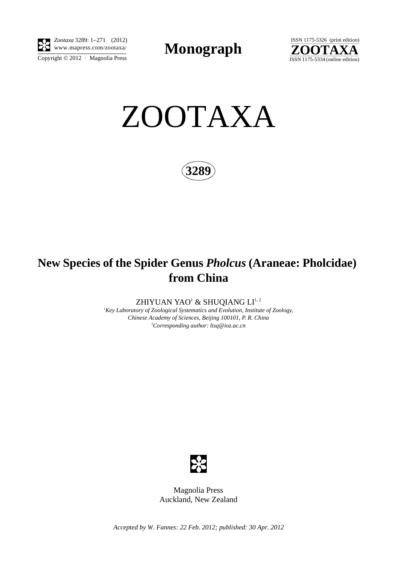

*Zootaxa* 3289: 1–271 (2012) E3 www.mapress.com/zootaxa/ **Monograph** 



ZOOTAXA

**3289**

# **New Species of the Spider Genus** *Pholcus* **(Araneae: Pholcidae) from China**

ZHIYUAN YAO $^{\rm l}$  & SHUQIANG LI $^{\rm l, \, 2}$ 

*1 Key Laboratory of Zoological Systematics and Evolution, Institute of Zoology, Chinese Academy of Sciences, Beijing 100101, P. R. China 2 Corresponding author: lisq@ioz.ac.cn*



Magnolia Press Auckland, New Zealand

*Accepted by W. Fannes: 22 Feb. 2012; published: 30 Apr. 2012*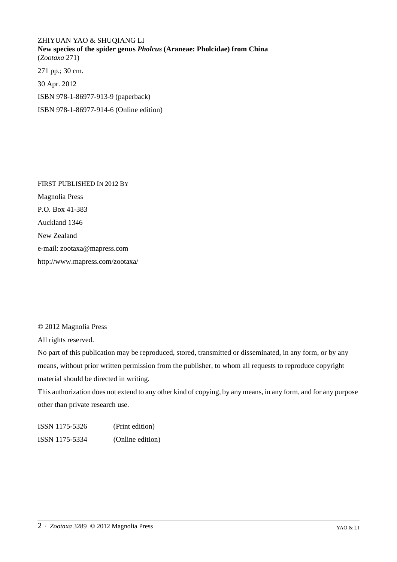## ZHIYUAN YAO & SHUQIANG LI **New species of the spider genus** *Pholcus* **(Araneae: Pholcidae) from China** (*Zootaxa* 271) 271 pp.; 30 cm. 30 Apr. 2012

ISBN 978-1-86977-913-9 (paperback)

ISBN 978-1-86977-914-6 (Online edition)

FIRST PUBLISHED IN 2012 BY Magnolia Press P.O. Box 41-383 Auckland 1346 New Zealand e-mail: zootaxa@mapress.com http://www.mapress.com/zootaxa/

### © 2012 Magnolia Press

All rights reserved.

No part of this publication may be reproduced, stored, transmitted or disseminated, in any form, or by any means, without prior written permission from the publisher, to whom all requests to reproduce copyright material should be directed in writing.

This authorization does not extend to any other kind of copying, by any means, in any form, and for any purpose other than private research use.

ISSN 1175-5326 (Print edition) ISSN 1175-5334 (Online edition)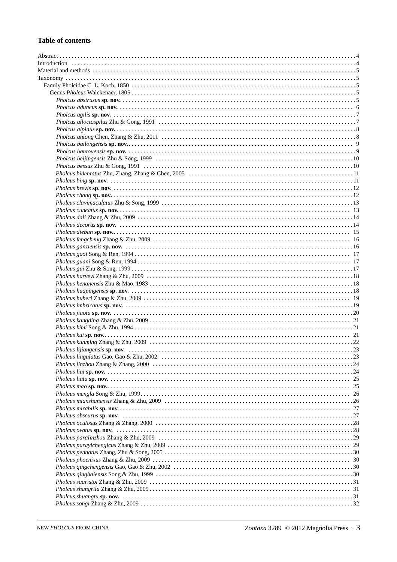#### **Table of contents**